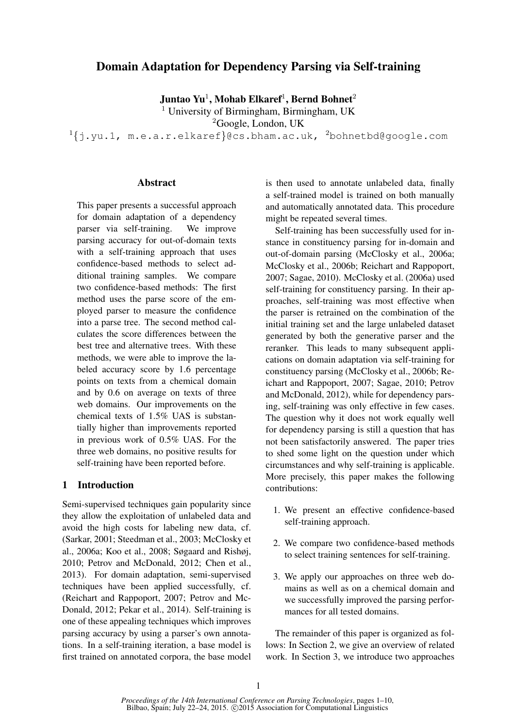# Domain Adaptation for Dependency Parsing via Self-training

Juntao Yu $^1$ , Mohab Elkaref $^1$ , Bernd Bohnet $^2$ 

<sup>1</sup> University of Birmingham, Birmingham, UK

<sup>2</sup>Google, London, UK

 $1\{j.yu.1, m.e.a.r.elkaref\}$ @cs.bham.ac.uk,  $2$ bohnetbd@google.com

### **Abstract**

This paper presents a successful approach for domain adaptation of a dependency parser via self-training. We improve parsing accuracy for out-of-domain texts with a self-training approach that uses confidence-based methods to select additional training samples. We compare two confidence-based methods: The first method uses the parse score of the employed parser to measure the confidence into a parse tree. The second method calculates the score differences between the best tree and alternative trees. With these methods, we were able to improve the labeled accuracy score by 1.6 percentage points on texts from a chemical domain and by 0.6 on average on texts of three web domains. Our improvements on the chemical texts of 1.5% UAS is substantially higher than improvements reported in previous work of 0.5% UAS. For the three web domains, no positive results for self-training have been reported before.

# 1 Introduction

Semi-supervised techniques gain popularity since they allow the exploitation of unlabeled data and avoid the high costs for labeling new data, cf. (Sarkar, 2001; Steedman et al., 2003; McClosky et al., 2006a; Koo et al., 2008; Søgaard and Rishøj, 2010; Petrov and McDonald, 2012; Chen et al., 2013). For domain adaptation, semi-supervised techniques have been applied successfully, cf. (Reichart and Rappoport, 2007; Petrov and Mc-Donald, 2012; Pekar et al., 2014). Self-training is one of these appealing techniques which improves parsing accuracy by using a parser's own annotations. In a self-training iteration, a base model is first trained on annotated corpora, the base model is then used to annotate unlabeled data, finally a self-trained model is trained on both manually and automatically annotated data. This procedure might be repeated several times.

Self-training has been successfully used for instance in constituency parsing for in-domain and out-of-domain parsing (McClosky et al., 2006a; McClosky et al., 2006b; Reichart and Rappoport, 2007; Sagae, 2010). McClosky et al. (2006a) used self-training for constituency parsing. In their approaches, self-training was most effective when the parser is retrained on the combination of the initial training set and the large unlabeled dataset generated by both the generative parser and the reranker. This leads to many subsequent applications on domain adaptation via self-training for constituency parsing (McClosky et al., 2006b; Reichart and Rappoport, 2007; Sagae, 2010; Petrov and McDonald, 2012), while for dependency parsing, self-training was only effective in few cases. The question why it does not work equally well for dependency parsing is still a question that has not been satisfactorily answered. The paper tries to shed some light on the question under which circumstances and why self-training is applicable. More precisely, this paper makes the following contributions:

- 1. We present an effective confidence-based self-training approach.
- 2. We compare two confidence-based methods to select training sentences for self-training.
- 3. We apply our approaches on three web domains as well as on a chemical domain and we successfully improved the parsing performances for all tested domains.

The remainder of this paper is organized as follows: In Section 2, we give an overview of related work. In Section 3, we introduce two approaches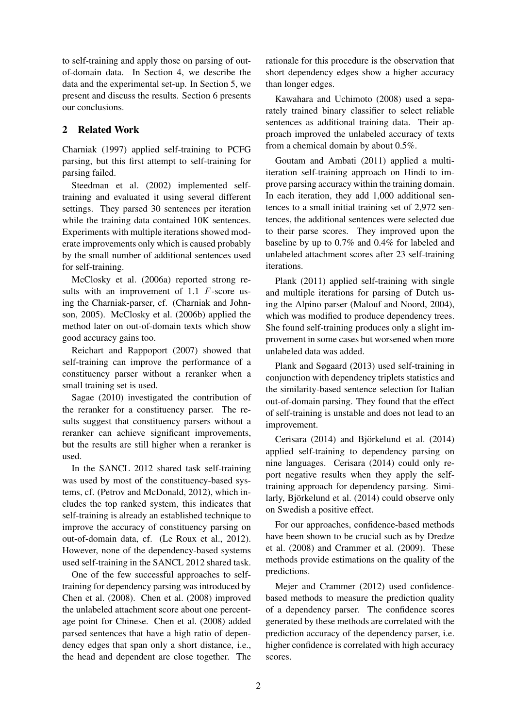to self-training and apply those on parsing of outof-domain data. In Section 4, we describe the data and the experimental set-up. In Section 5, we present and discuss the results. Section 6 presents our conclusions.

# 2 Related Work

Charniak (1997) applied self-training to PCFG parsing, but this first attempt to self-training for parsing failed.

Steedman et al. (2002) implemented selftraining and evaluated it using several different settings. They parsed 30 sentences per iteration while the training data contained 10K sentences. Experiments with multiple iterations showed moderate improvements only which is caused probably by the small number of additional sentences used for self-training.

McClosky et al. (2006a) reported strong results with an improvement of 1.1 F-score using the Charniak-parser, cf. (Charniak and Johnson, 2005). McClosky et al. (2006b) applied the method later on out-of-domain texts which show good accuracy gains too.

Reichart and Rappoport (2007) showed that self-training can improve the performance of a constituency parser without a reranker when a small training set is used.

Sagae (2010) investigated the contribution of the reranker for a constituency parser. The results suggest that constituency parsers without a reranker can achieve significant improvements, but the results are still higher when a reranker is used.

In the SANCL 2012 shared task self-training was used by most of the constituency-based systems, cf. (Petrov and McDonald, 2012), which includes the top ranked system, this indicates that self-training is already an established technique to improve the accuracy of constituency parsing on out-of-domain data, cf. (Le Roux et al., 2012). However, none of the dependency-based systems used self-training in the SANCL 2012 shared task.

One of the few successful approaches to selftraining for dependency parsing was introduced by Chen et al. (2008). Chen et al. (2008) improved the unlabeled attachment score about one percentage point for Chinese. Chen et al. (2008) added parsed sentences that have a high ratio of dependency edges that span only a short distance, i.e., the head and dependent are close together. The rationale for this procedure is the observation that short dependency edges show a higher accuracy than longer edges.

Kawahara and Uchimoto (2008) used a separately trained binary classifier to select reliable sentences as additional training data. Their approach improved the unlabeled accuracy of texts from a chemical domain by about 0.5%.

Goutam and Ambati (2011) applied a multiiteration self-training approach on Hindi to improve parsing accuracy within the training domain. In each iteration, they add 1,000 additional sentences to a small initial training set of 2,972 sentences, the additional sentences were selected due to their parse scores. They improved upon the baseline by up to 0.7% and 0.4% for labeled and unlabeled attachment scores after 23 self-training iterations.

Plank (2011) applied self-training with single and multiple iterations for parsing of Dutch using the Alpino parser (Malouf and Noord, 2004), which was modified to produce dependency trees. She found self-training produces only a slight improvement in some cases but worsened when more unlabeled data was added.

Plank and Søgaard (2013) used self-training in conjunction with dependency triplets statistics and the similarity-based sentence selection for Italian out-of-domain parsing. They found that the effect of self-training is unstable and does not lead to an improvement.

Cerisara (2014) and Björkelund et al. (2014) applied self-training to dependency parsing on nine languages. Cerisara (2014) could only report negative results when they apply the selftraining approach for dependency parsing. Similarly, Björkelund et al. (2014) could observe only on Swedish a positive effect.

For our approaches, confidence-based methods have been shown to be crucial such as by Dredze et al. (2008) and Crammer et al. (2009). These methods provide estimations on the quality of the predictions.

Mejer and Crammer (2012) used confidencebased methods to measure the prediction quality of a dependency parser. The confidence scores generated by these methods are correlated with the prediction accuracy of the dependency parser, i.e. higher confidence is correlated with high accuracy scores.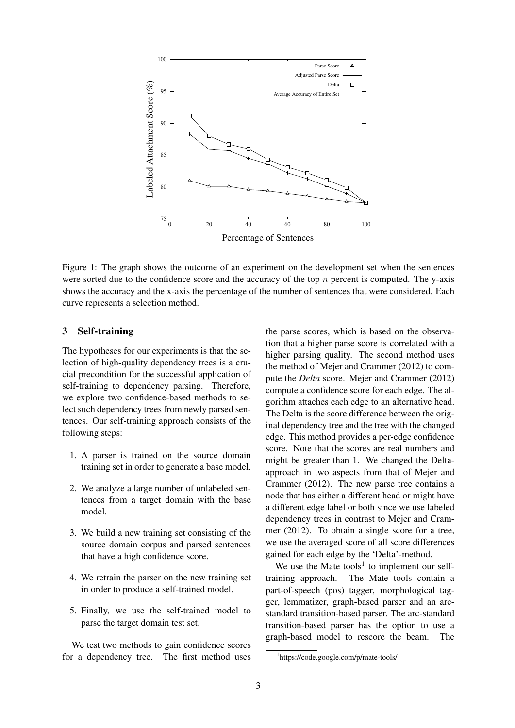

Figure 1: The graph shows the outcome of an experiment on the development set when the sentences were sorted due to the confidence score and the accuracy of the top  $n$  percent is computed. The y-axis shows the accuracy and the x-axis the percentage of the number of sentences that were considered. Each curve represents a selection method.

# 3 Self-training

The hypotheses for our experiments is that the selection of high-quality dependency trees is a crucial precondition for the successful application of self-training to dependency parsing. Therefore, we explore two confidence-based methods to select such dependency trees from newly parsed sentences. Our self-training approach consists of the following steps:

- 1. A parser is trained on the source domain training set in order to generate a base model.
- 2. We analyze a large number of unlabeled sentences from a target domain with the base model.
- 3. We build a new training set consisting of the source domain corpus and parsed sentences that have a high confidence score.
- 4. We retrain the parser on the new training set in order to produce a self-trained model.
- 5. Finally, we use the self-trained model to parse the target domain test set.

We test two methods to gain confidence scores for a dependency tree. The first method uses the parse scores, which is based on the observation that a higher parse score is correlated with a higher parsing quality. The second method uses the method of Mejer and Crammer (2012) to compute the *Delta* score. Mejer and Crammer (2012) compute a confidence score for each edge. The algorithm attaches each edge to an alternative head. The Delta is the score difference between the original dependency tree and the tree with the changed edge. This method provides a per-edge confidence score. Note that the scores are real numbers and might be greater than 1. We changed the Deltaapproach in two aspects from that of Mejer and Crammer (2012). The new parse tree contains a node that has either a different head or might have a different edge label or both since we use labeled dependency trees in contrast to Mejer and Crammer (2012). To obtain a single score for a tree, we use the averaged score of all score differences gained for each edge by the 'Delta'-method.

We use the Mate tools<sup>1</sup> to implement our selftraining approach. The Mate tools contain a part-of-speech (pos) tagger, morphological tagger, lemmatizer, graph-based parser and an arcstandard transition-based parser. The arc-standard transition-based parser has the option to use a graph-based model to rescore the beam. The

<sup>1</sup> https://code.google.com/p/mate-tools/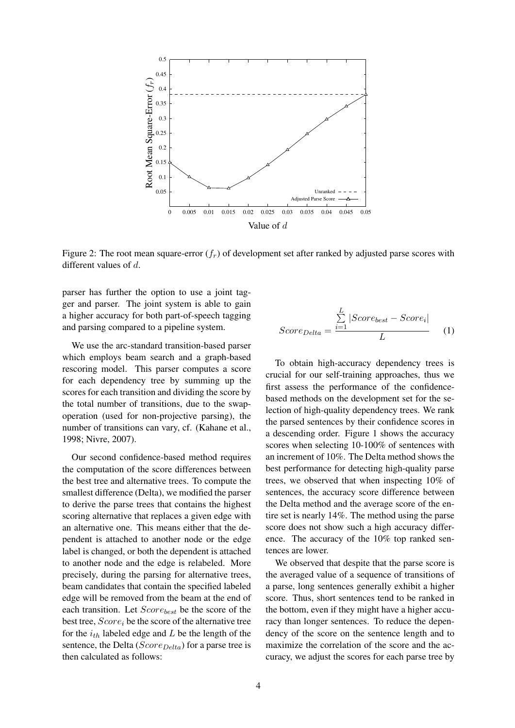

Figure 2: The root mean square-error  $(f<sub>r</sub>)$  of development set after ranked by adjusted parse scores with different values of d.

parser has further the option to use a joint tagger and parser. The joint system is able to gain a higher accuracy for both part-of-speech tagging and parsing compared to a pipeline system.

We use the arc-standard transition-based parser which employs beam search and a graph-based rescoring model. This parser computes a score for each dependency tree by summing up the scores for each transition and dividing the score by the total number of transitions, due to the swapoperation (used for non-projective parsing), the number of transitions can vary, cf. (Kahane et al., 1998; Nivre, 2007).

Our second confidence-based method requires the computation of the score differences between the best tree and alternative trees. To compute the smallest difference (Delta), we modified the parser to derive the parse trees that contains the highest scoring alternative that replaces a given edge with an alternative one. This means either that the dependent is attached to another node or the edge label is changed, or both the dependent is attached to another node and the edge is relabeled. More precisely, during the parsing for alternative trees, beam candidates that contain the specified labeled edge will be removed from the beam at the end of each transition. Let  $Score_{best}$  be the score of the best tree,  $Score_i$  be the score of the alternative tree for the  $i_{th}$  labeled edge and  $L$  be the length of the sentence, the Delta ( $Score_{Delta}$ ) for a parse tree is then calculated as follows:

$$
Score_{Delta} = \frac{\sum_{i=1}^{L} |Score_{best} - Score_i|}{L}
$$
 (1)

To obtain high-accuracy dependency trees is crucial for our self-training approaches, thus we first assess the performance of the confidencebased methods on the development set for the selection of high-quality dependency trees. We rank the parsed sentences by their confidence scores in a descending order. Figure 1 shows the accuracy scores when selecting 10-100% of sentences with an increment of 10%. The Delta method shows the best performance for detecting high-quality parse trees, we observed that when inspecting 10% of sentences, the accuracy score difference between the Delta method and the average score of the entire set is nearly 14%. The method using the parse score does not show such a high accuracy difference. The accuracy of the 10% top ranked sentences are lower.

We observed that despite that the parse score is the averaged value of a sequence of transitions of a parse, long sentences generally exhibit a higher score. Thus, short sentences tend to be ranked in the bottom, even if they might have a higher accuracy than longer sentences. To reduce the dependency of the score on the sentence length and to maximize the correlation of the score and the accuracy, we adjust the scores for each parse tree by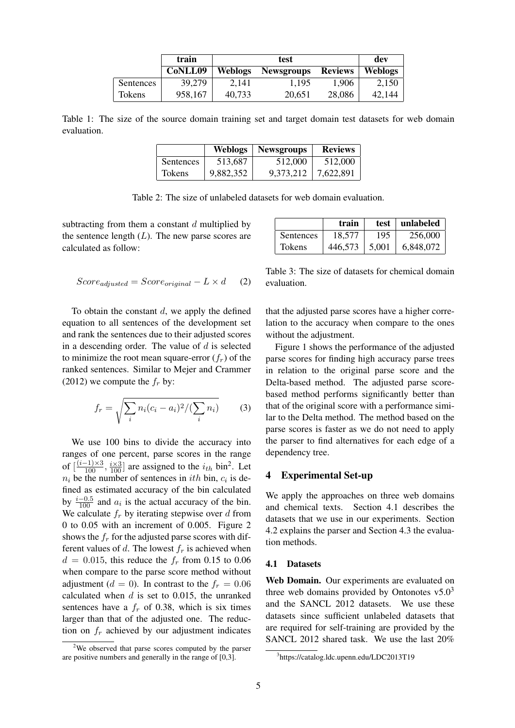|               | train   | test           |                   |                | dev            |
|---------------|---------|----------------|-------------------|----------------|----------------|
|               | CoNLL09 | <b>Weblogs</b> | <b>Newsgroups</b> | <b>Reviews</b> | <b>Weblogs</b> |
| Sentences     | 39,279  | 2.141          | 1.195             | 1,906          | 2.150          |
| <b>Tokens</b> | 958,167 | 40.733         | 20,651            | 28,086         | 42.144         |

Table 1: The size of the source domain training set and target domain test datasets for web domain evaluation.

|                  | <b>Weblogs</b> | <b>Newsgroups</b> | <b>Reviews</b> |
|------------------|----------------|-------------------|----------------|
| <b>Sentences</b> | 513,687        | 512,000           | 512,000        |
| <b>Tokens</b>    | 9,882,352      | 9,373,212         | 7,622,891      |

Table 2: The size of unlabeled datasets for web domain evaluation.

subtracting from them a constant  $d$  multiplied by the sentence length  $(L)$ . The new parse scores are calculated as follow:

$$
Score_{adjusted} = Score_{original} - L \times d \qquad (2)
$$

To obtain the constant  $d$ , we apply the defined equation to all sentences of the development set and rank the sentences due to their adjusted scores in a descending order. The value of  $d$  is selected to minimize the root mean square-error  $(f_r)$  of the ranked sentences. Similar to Mejer and Crammer (2012) we compute the  $f_r$  by:

$$
f_r = \sqrt{\sum_i n_i (c_i - a_i)^2 / (\sum_i n_i)} \tag{3}
$$

We use 100 bins to divide the accuracy into ranges of one percent, parse scores in the range of  $\left[\frac{(i-1)\times 3}{100}, \frac{i\times 3}{100}\right]$  are assigned to the  $i_{th}$  bin<sup>2</sup>. Let  $n_i$  be the number of sentences in *ith* bin,  $c_i$  is defined as estimated accuracy of the bin calculated by  $\frac{i-0.5}{100}$  and  $a_i$  is the actual accuracy of the bin. We calculate  $f_r$  by iterating stepwise over d from 0 to 0.05 with an increment of 0.005. Figure 2 shows the  $f_r$  for the adjusted parse scores with different values of d. The lowest  $f_r$  is achieved when  $d = 0.015$ , this reduce the  $f_r$  from 0.15 to 0.06 when compare to the parse score method without adjustment ( $d = 0$ ). In contrast to the  $f_r = 0.06$ calculated when  $d$  is set to 0.015, the unranked sentences have a  $f_r$  of 0.38, which is six times larger than that of the adjusted one. The reduction on  $f_r$  achieved by our adjustment indicates

|               | train   | test  | unlabeled |
|---------------|---------|-------|-----------|
| Sentences     | 18.577  | 195   | 256,000   |
| <b>Tokens</b> | 446.573 | 5.001 | 6,848,072 |

Table 3: The size of datasets for chemical domain evaluation.

that the adjusted parse scores have a higher correlation to the accuracy when compare to the ones without the adjustment.

Figure 1 shows the performance of the adjusted parse scores for finding high accuracy parse trees in relation to the original parse score and the Delta-based method. The adjusted parse scorebased method performs significantly better than that of the original score with a performance similar to the Delta method. The method based on the parse scores is faster as we do not need to apply the parser to find alternatives for each edge of a dependency tree.

#### 4 Experimental Set-up

We apply the approaches on three web domains and chemical texts. Section 4.1 describes the datasets that we use in our experiments. Section 4.2 explains the parser and Section 4.3 the evaluation methods.

#### 4.1 Datasets

Web Domain. Our experiments are evaluated on three web domains provided by Ontonotes  $v5.0<sup>3</sup>$ and the SANCL 2012 datasets. We use these datasets since sufficient unlabeled datasets that are required for self-training are provided by the SANCL 2012 shared task. We use the last 20%

<sup>&</sup>lt;sup>2</sup>We observed that parse scores computed by the parser are positive numbers and generally in the range of [0,3].

<sup>3</sup> https://catalog.ldc.upenn.edu/LDC2013T19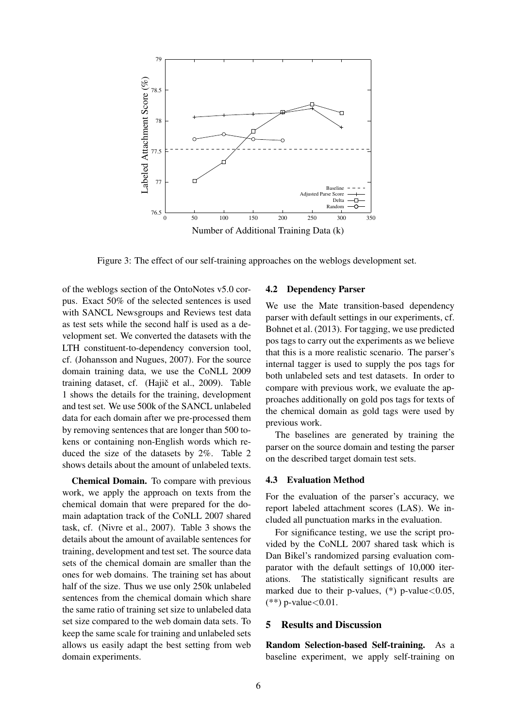

Figure 3: The effect of our self-training approaches on the weblogs development set.

of the weblogs section of the OntoNotes v5.0 corpus. Exact 50% of the selected sentences is used with SANCL Newsgroups and Reviews test data as test sets while the second half is used as a development set. We converted the datasets with the LTH constituent-to-dependency conversion tool, cf. (Johansson and Nugues, 2007). For the source domain training data, we use the CoNLL 2009 training dataset, cf. (Hajič et al., 2009). Table 1 shows the details for the training, development and test set. We use 500k of the SANCL unlabeled data for each domain after we pre-processed them by removing sentences that are longer than 500 tokens or containing non-English words which reduced the size of the datasets by 2%. Table 2 shows details about the amount of unlabeled texts.

Chemical Domain. To compare with previous work, we apply the approach on texts from the chemical domain that were prepared for the domain adaptation track of the CoNLL 2007 shared task, cf. (Nivre et al., 2007). Table 3 shows the details about the amount of available sentences for training, development and test set. The source data sets of the chemical domain are smaller than the ones for web domains. The training set has about half of the size. Thus we use only 250k unlabeled sentences from the chemical domain which share the same ratio of training set size to unlabeled data set size compared to the web domain data sets. To keep the same scale for training and unlabeled sets allows us easily adapt the best setting from web domain experiments.

#### 4.2 Dependency Parser

We use the Mate transition-based dependency parser with default settings in our experiments, cf. Bohnet et al. (2013). For tagging, we use predicted pos tags to carry out the experiments as we believe that this is a more realistic scenario. The parser's internal tagger is used to supply the pos tags for both unlabeled sets and test datasets. In order to compare with previous work, we evaluate the approaches additionally on gold pos tags for texts of the chemical domain as gold tags were used by previous work.

The baselines are generated by training the parser on the source domain and testing the parser on the described target domain test sets.

#### 4.3 Evaluation Method

For the evaluation of the parser's accuracy, we report labeled attachment scores (LAS). We included all punctuation marks in the evaluation.

For significance testing, we use the script provided by the CoNLL 2007 shared task which is Dan Bikel's randomized parsing evaluation comparator with the default settings of 10,000 iterations. The statistically significant results are marked due to their p-values,  $(*)$  p-value $< 0.05$ ,  $(**)$  p-value < 0.01.

### 5 Results and Discussion

Random Selection-based Self-training. As a baseline experiment, we apply self-training on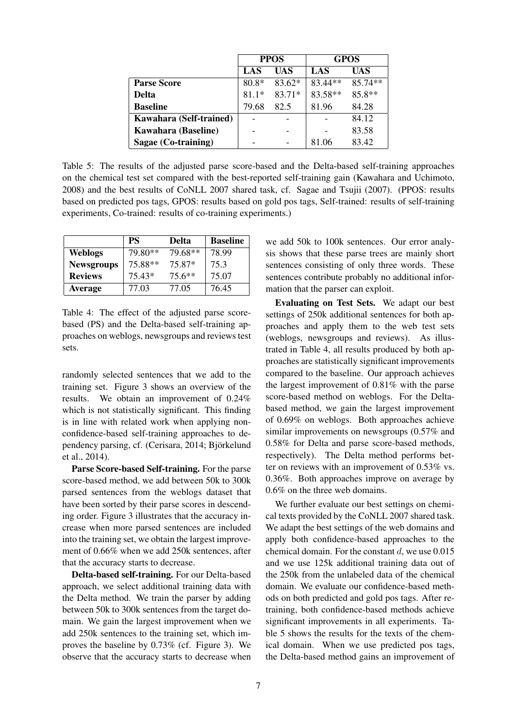|                            | <b>PPOS</b> |          | <b>GPOS</b> |         |
|----------------------------|-------------|----------|-------------|---------|
|                            | LAS         | UAS      | LAS         | UAS     |
| <b>Parse Score</b>         | $80.8*$     | $83.62*$ | 83.44**     | 85.74** |
| Delta                      | $81.1*$     | 83.71*   | 83.58**     | 85.8**  |
| <b>Baseline</b>            | 79.68       | 82.5     | 81.96       | 84.28   |
| Kawahara (Self-trained)    |             |          |             | 84.12   |
| <b>Kawahara (Baseline)</b> |             |          |             | 83.58   |
| Sagae (Co-training)        |             |          | 81.06       | 83.42   |

Table 5: The results of the adjusted parse score-based and the Delta-based self-training approaches on the chemical test set compared with the best-reported self-training gain (Kawahara and Uchimoto, 2008) and the best results of CoNLL 2007 shared task, cf. Sagae and Tsujii (2007). (PPOS: results based on predicted pos tags, GPOS: results based on gold pos tags, Self-trained: results of self-training experiments, Co-trained: results of co-training experiments.)

|                   | <b>PS</b> | Delta    | <b>Baseline</b> |
|-------------------|-----------|----------|-----------------|
| <b>Weblogs</b>    | 79.80**   | 79.68**  | 78.99           |
| <b>Newsgroups</b> | 75.88**   | 75.87*   | 75.3            |
| <b>Reviews</b>    | 75.43*    | $75.6**$ | 75.07           |
| <b>Average</b>    | 77.03     | 77.05    | 76.45           |

Table 4: The effect of the adjusted parse scorebased (PS) and the Delta-based self-training approaches on weblogs, newsgroups and reviews test sets.

randomly selected sentences that we add to the training set. Figure 3 shows an overview of the results. We obtain an improvement of 0.24% which is not statistically significant. This finding is in line with related work when applying nonconfidence-based self-training approaches to dependency parsing, cf. (Cerisara, 2014; Björkelund et al., 2014).

Parse Score-based Self-training. For the parse score-based method, we add between 50k to 300k parsed sentences from the weblogs dataset that have been sorted by their parse scores in descending order. Figure 3 illustrates that the accuracy increase when more parsed sentences are included into the training set, we obtain the largest improvement of 0.66% when we add 250k sentences, after that the accuracy starts to decrease.

Delta-based self-training. For our Delta-based approach, we select additional training data with the Delta method. We train the parser by adding between 50k to 300k sentences from the target domain. We gain the largest improvement when we add 250k sentences to the training set, which improves the baseline by 0.73% (cf. Figure 3). We observe that the accuracy starts to decrease when

we add 50k to 100k sentences. Our error analysis shows that these parse trees are mainly short sentences consisting of only three words. These sentences contribute probably no additional information that the parser can exploit.

Evaluating on Test Sets. We adapt our best settings of 250k additional sentences for both approaches and apply them to the web test sets (weblogs, newsgroups and reviews). As illustrated in Table 4, all results produced by both approaches are statistically significant improvements compared to the baseline. Our approach achieves the largest improvement of 0.81% with the parse score-based method on weblogs. For the Deltabased method, we gain the largest improvement of 0.69% on weblogs. Both approaches achieve similar improvements on newsgroups (0.57% and 0.58% for Delta and parse score-based methods, respectively). The Delta method performs better on reviews with an improvement of 0.53% vs. 0.36%. Both approaches improve on average by 0.6% on the three web domains.

We further evaluate our best settings on chemical texts provided by the CoNLL 2007 shared task. We adapt the best settings of the web domains and apply both confidence-based approaches to the chemical domain. For the constant  $d$ , we use  $0.015$ and we use 125k additional training data out of the 250k from the unlabeled data of the chemical domain. We evaluate our confidence-based methods on both predicted and gold pos tags. After retraining, both confidence-based methods achieve significant improvements in all experiments. Table 5 shows the results for the texts of the chemical domain. When we use predicted pos tags, the Delta-based method gains an improvement of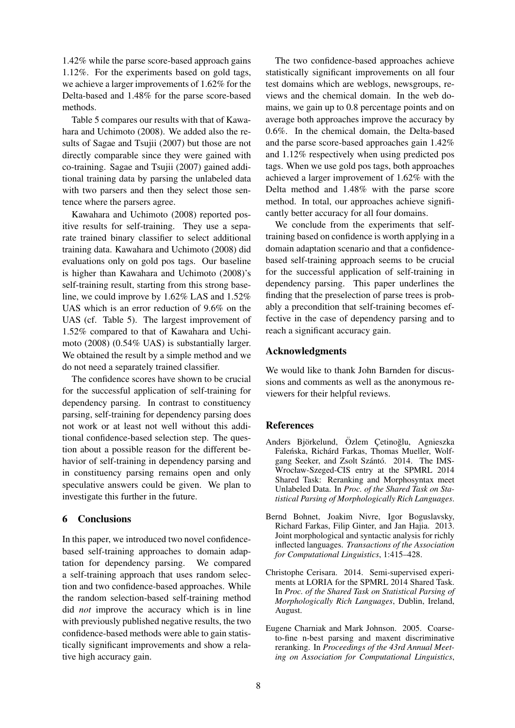1.42% while the parse score-based approach gains 1.12%. For the experiments based on gold tags, we achieve a larger improvements of 1.62% for the Delta-based and 1.48% for the parse score-based methods.

Table 5 compares our results with that of Kawahara and Uchimoto (2008). We added also the results of Sagae and Tsujii (2007) but those are not directly comparable since they were gained with co-training. Sagae and Tsujii (2007) gained additional training data by parsing the unlabeled data with two parsers and then they select those sentence where the parsers agree.

Kawahara and Uchimoto (2008) reported positive results for self-training. They use a separate trained binary classifier to select additional training data. Kawahara and Uchimoto (2008) did evaluations only on gold pos tags. Our baseline is higher than Kawahara and Uchimoto (2008)'s self-training result, starting from this strong baseline, we could improve by 1.62% LAS and 1.52% UAS which is an error reduction of 9.6% on the UAS (cf. Table 5). The largest improvement of 1.52% compared to that of Kawahara and Uchimoto (2008) (0.54% UAS) is substantially larger. We obtained the result by a simple method and we do not need a separately trained classifier.

The confidence scores have shown to be crucial for the successful application of self-training for dependency parsing. In contrast to constituency parsing, self-training for dependency parsing does not work or at least not well without this additional confidence-based selection step. The question about a possible reason for the different behavior of self-training in dependency parsing and in constituency parsing remains open and only speculative answers could be given. We plan to investigate this further in the future.

#### 6 Conclusions

In this paper, we introduced two novel confidencebased self-training approaches to domain adaptation for dependency parsing. We compared a self-training approach that uses random selection and two confidence-based approaches. While the random selection-based self-training method did *not* improve the accuracy which is in line with previously published negative results, the two confidence-based methods were able to gain statistically significant improvements and show a relative high accuracy gain.

The two confidence-based approaches achieve statistically significant improvements on all four test domains which are weblogs, newsgroups, reviews and the chemical domain. In the web domains, we gain up to 0.8 percentage points and on average both approaches improve the accuracy by 0.6%. In the chemical domain, the Delta-based and the parse score-based approaches gain 1.42% and 1.12% respectively when using predicted pos tags. When we use gold pos tags, both approaches achieved a larger improvement of 1.62% with the Delta method and 1.48% with the parse score method. In total, our approaches achieve significantly better accuracy for all four domains.

We conclude from the experiments that selftraining based on confidence is worth applying in a domain adaptation scenario and that a confidencebased self-training approach seems to be crucial for the successful application of self-training in dependency parsing. This paper underlines the finding that the preselection of parse trees is probably a precondition that self-training becomes effective in the case of dependency parsing and to reach a significant accuracy gain.

### Acknowledgments

We would like to thank John Barnden for discussions and comments as well as the anonymous reviewers for their helpful reviews.

#### References

- Anders Björkelund, Özlem Cetinoğlu, Agnieszka Faleńska, Richárd Farkas, Thomas Mueller, Wolfgang Seeker, and Zsolt Szántó. 2014. The IMS-Wrocław-Szeged-CIS entry at the SPMRL 2014 Shared Task: Reranking and Morphosyntax meet Unlabeled Data. In *Proc. of the Shared Task on Statistical Parsing of Morphologically Rich Languages*.
- Bernd Bohnet, Joakim Nivre, Igor Boguslavsky, Richard Farkas, Filip Ginter, and Jan Hajia. 2013. Joint morphological and syntactic analysis for richly inflected languages. *Transactions of the Association for Computational Linguistics*, 1:415–428.
- Christophe Cerisara. 2014. Semi-supervised experiments at LORIA for the SPMRL 2014 Shared Task. In *Proc. of the Shared Task on Statistical Parsing of Morphologically Rich Languages*, Dublin, Ireland, August.
- Eugene Charniak and Mark Johnson. 2005. Coarseto-fine n-best parsing and maxent discriminative reranking. In *Proceedings of the 43rd Annual Meeting on Association for Computational Linguistics*,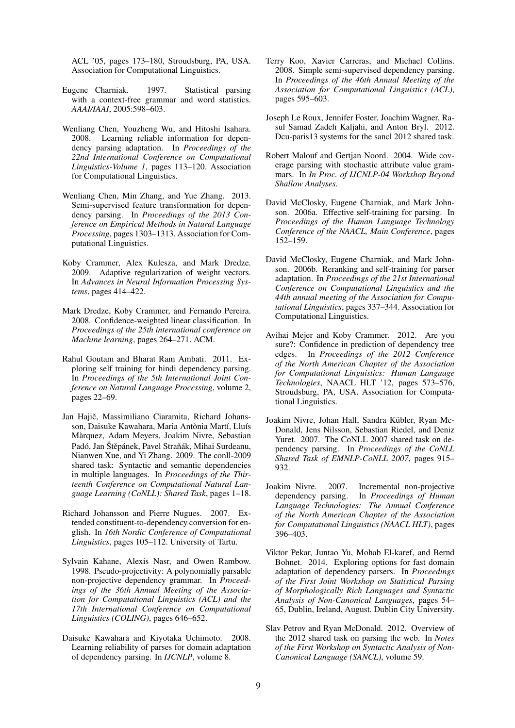ACL '05, pages 173–180, Stroudsburg, PA, USA. Association for Computational Linguistics.

- Eugene Charniak. 1997. Statistical parsing with a context-free grammar and word statistics. *AAAI/IAAI*, 2005:598–603.
- Wenliang Chen, Youzheng Wu, and Hitoshi Isahara. 2008. Learning reliable information for dependency parsing adaptation. In *Proceedings of the 22nd International Conference on Computational Linguistics-Volume 1*, pages 113–120. Association for Computational Linguistics.
- Wenliang Chen, Min Zhang, and Yue Zhang. 2013. Semi-supervised feature transformation for dependency parsing. In *Proceedings of the 2013 Conference on Empirical Methods in Natural Language Processing*, pages 1303–1313. Association for Computational Linguistics.
- Koby Crammer, Alex Kulesza, and Mark Dredze. 2009. Adaptive regularization of weight vectors. In *Advances in Neural Information Processing Systems*, pages 414–422.
- Mark Dredze, Koby Crammer, and Fernando Pereira. 2008. Confidence-weighted linear classification. In *Proceedings of the 25th international conference on Machine learning*, pages 264–271. ACM.
- Rahul Goutam and Bharat Ram Ambati. 2011. Exploring self training for hindi dependency parsing. In *Proceedings of the 5th International Joint Conference on Natural Language Processing*, volume 2, pages 22–69.
- Jan Hajič, Massimiliano Ciaramita, Richard Johansson, Daisuke Kawahara, Maria Antònia Martí, Lluís Marquez, Adam Meyers, Joakim Nivre, Sebastian ` Padó, Jan Štěpánek, Pavel Straňák, Mihai Surdeanu, Nianwen Xue, and Yi Zhang. 2009. The conll-2009 shared task: Syntactic and semantic dependencies in multiple languages. In *Proceedings of the Thirteenth Conference on Computational Natural Language Learning (CoNLL): Shared Task*, pages 1–18.
- Richard Johansson and Pierre Nugues. 2007. Extended constituent-to-dependency conversion for english. In *16th Nordic Conference of Computational Linguistics*, pages 105–112. University of Tartu.
- Sylvain Kahane, Alexis Nasr, and Owen Rambow. 1998. Pseudo-projectivity: A polynomially parsable non-projective dependency grammar. In *Proceedings of the 36th Annual Meeting of the Association for Computational Linguistics (ACL) and the 17th International Conference on Computational Linguistics (COLING)*, pages 646–652.
- Daisuke Kawahara and Kiyotaka Uchimoto. 2008. Learning reliability of parses for domain adaptation of dependency parsing. In *IJCNLP*, volume 8.
- Terry Koo, Xavier Carreras, and Michael Collins. 2008. Simple semi-supervised dependency parsing. In *Proceedings of the 46th Annual Meeting of the Association for Computational Linguistics (ACL)*, pages 595–603.
- Joseph Le Roux, Jennifer Foster, Joachim Wagner, Rasul Samad Zadeh Kaljahi, and Anton Bryl. 2012. Dcu-paris13 systems for the sancl 2012 shared task.
- Robert Malouf and Gertjan Noord. 2004. Wide coverage parsing with stochastic attribute value grammars. In *In Proc. of IJCNLP-04 Workshop Beyond Shallow Analyses*.
- David McClosky, Eugene Charniak, and Mark Johnson. 2006a. Effective self-training for parsing. In *Proceedings of the Human Language Technology Conference of the NAACL, Main Conference*, pages 152–159.
- David McClosky, Eugene Charniak, and Mark Johnson. 2006b. Reranking and self-training for parser adaptation. In *Proceedings of the 21st International Conference on Computational Linguistics and the 44th annual meeting of the Association for Computational Linguistics*, pages 337–344. Association for Computational Linguistics.
- Avihai Mejer and Koby Crammer. 2012. Are you sure?: Confidence in prediction of dependency tree edges. In *Proceedings of the 2012 Conference of the North American Chapter of the Association for Computational Linguistics: Human Language Technologies*, NAACL HLT '12, pages 573–576, Stroudsburg, PA, USA. Association for Computational Linguistics.
- Joakim Nivre, Johan Hall, Sandra Kübler, Ryan Mc-Donald, Jens Nilsson, Sebastian Riedel, and Deniz Yuret. 2007. The CoNLL 2007 shared task on dependency parsing. In *Proceedings of the CoNLL Shared Task of EMNLP-CoNLL 2007*, pages 915– 932.
- Joakim Nivre. 2007. Incremental non-projective dependency parsing. In *Proceedings of Human Language Technologies: The Annual Conference of the North American Chapter of the Association for Computational Linguistics (NAACL HLT)*, pages 396–403.
- Viktor Pekar, Juntao Yu, Mohab El-karef, and Bernd Bohnet. 2014. Exploring options for fast domain adaptation of dependency parsers. In *Proceedings of the First Joint Workshop on Statistical Parsing of Morphologically Rich Languages and Syntactic Analysis of Non-Canonical Languages*, pages 54– 65, Dublin, Ireland, August. Dublin City University.
- Slav Petrov and Ryan McDonald. 2012. Overview of the 2012 shared task on parsing the web. In *Notes of the First Workshop on Syntactic Analysis of Non-Canonical Language (SANCL)*, volume 59.